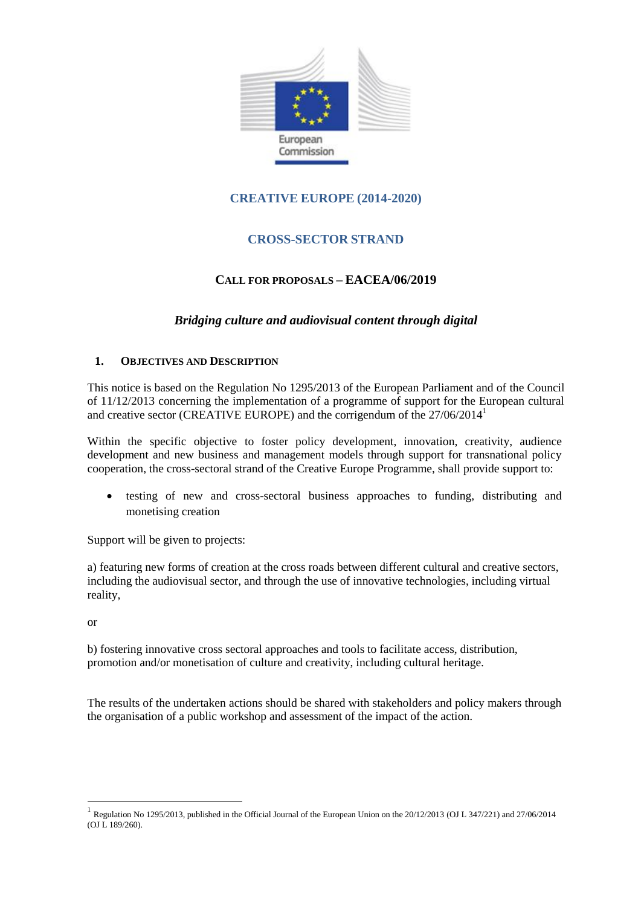

# **CREATIVE EUROPE (2014-2020)**

# **CROSS-SECTOR STRAND**

## **CALL FOR PROPOSALS – EACEA/06/2019**

## *Bridging culture and audiovisual content through digital*

### **1. OBJECTIVES AND DESCRIPTION**

This notice is based on the Regulation No 1295/2013 of the European Parliament and of the Council of 11/12/2013 concerning the implementation of a programme of support for the European cultural and creative sector (CREATIVE EUROPE) and the corrigendum of the 27/06/2014<sup>1</sup>

Within the specific objective to foster policy development, innovation, creativity, audience development and new business and management models through support for transnational policy cooperation, the cross-sectoral strand of the Creative Europe Programme, shall provide support to:

 testing of new and cross-sectoral business approaches to funding, distributing and monetising creation

Support will be given to projects:

a) featuring new forms of creation at the cross roads between different cultural and creative sectors, including the audiovisual sector, and through the use of innovative technologies, including virtual reality,

or

 $\overline{a}$ 

b) fostering innovative cross sectoral approaches and tools to facilitate access, distribution, promotion and/or monetisation of culture and creativity, including cultural heritage.

The results of the undertaken actions should be shared with stakeholders and policy makers through the organisation of a public workshop and assessment of the impact of the action.

<sup>1</sup> Regulation No 1295/2013, published in the Official Journal of the European Union on the 20/12/2013 (OJ L 347/221) and 27/06/2014 (OJ L 189/260).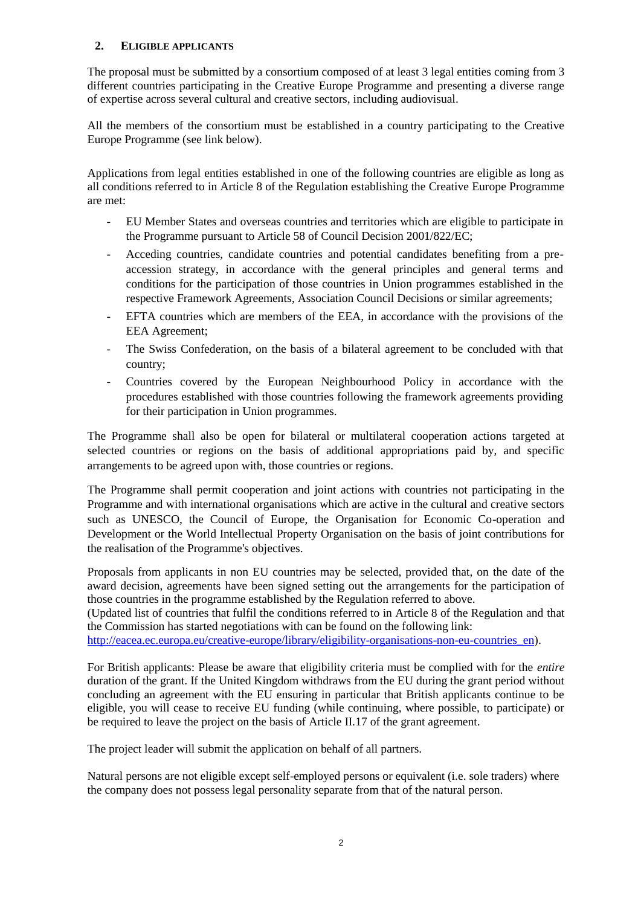### **2. ELIGIBLE APPLICANTS**

The proposal must be submitted by a consortium composed of at least 3 legal entities coming from 3 different countries participating in the Creative Europe Programme and presenting a diverse range of expertise across several cultural and creative sectors, including audiovisual.

All the members of the consortium must be established in a country participating to the Creative Europe Programme (see link below).

Applications from legal entities established in one of the following countries are eligible as long as all conditions referred to in Article 8 of the Regulation establishing the Creative Europe Programme are met:

- EU Member States and overseas countries and territories which are eligible to participate in the Programme pursuant to Article 58 of Council Decision 2001/822/EC;
- Acceding countries, candidate countries and potential candidates benefiting from a preaccession strategy, in accordance with the general principles and general terms and conditions for the participation of those countries in Union programmes established in the respective Framework Agreements, Association Council Decisions or similar agreements;
- EFTA countries which are members of the EEA, in accordance with the provisions of the EEA Agreement;
- The Swiss Confederation, on the basis of a bilateral agreement to be concluded with that country;
- Countries covered by the European Neighbourhood Policy in accordance with the procedures established with those countries following the framework agreements providing for their participation in Union programmes.

The Programme shall also be open for bilateral or multilateral cooperation actions targeted at selected countries or regions on the basis of additional appropriations paid by, and specific arrangements to be agreed upon with, those countries or regions.

The Programme shall permit cooperation and joint actions with countries not participating in the Programme and with international organisations which are active in the cultural and creative sectors such as UNESCO, the Council of Europe, the Organisation for Economic Co-operation and Development or the World Intellectual Property Organisation on the basis of joint contributions for the realisation of the Programme's objectives.

Proposals from applicants in non EU countries may be selected, provided that, on the date of the award decision, agreements have been signed setting out the arrangements for the participation of those countries in the programme established by the Regulation referred to above.

(Updated list of countries that fulfil the conditions referred to in Article 8 of the Regulation and that the Commission has started negotiations with can be found on the following link:

http://eacea.ec.europa.eu/creative-europe/library/eligibility-organisations-non-eu-countries en).

For British applicants: Please be aware that eligibility criteria must be complied with for the *entire* duration of the grant. If the United Kingdom withdraws from the EU during the grant period without concluding an agreement with the EU ensuring in particular that British applicants continue to be eligible, you will cease to receive EU funding (while continuing, where possible, to participate) or be required to leave the project on the basis of Article II.17 of the grant agreement.

The project leader will submit the application on behalf of all partners.

Natural persons are not eligible except self-employed persons or equivalent (i.e. sole traders) where the company does not possess legal personality separate from that of the natural person.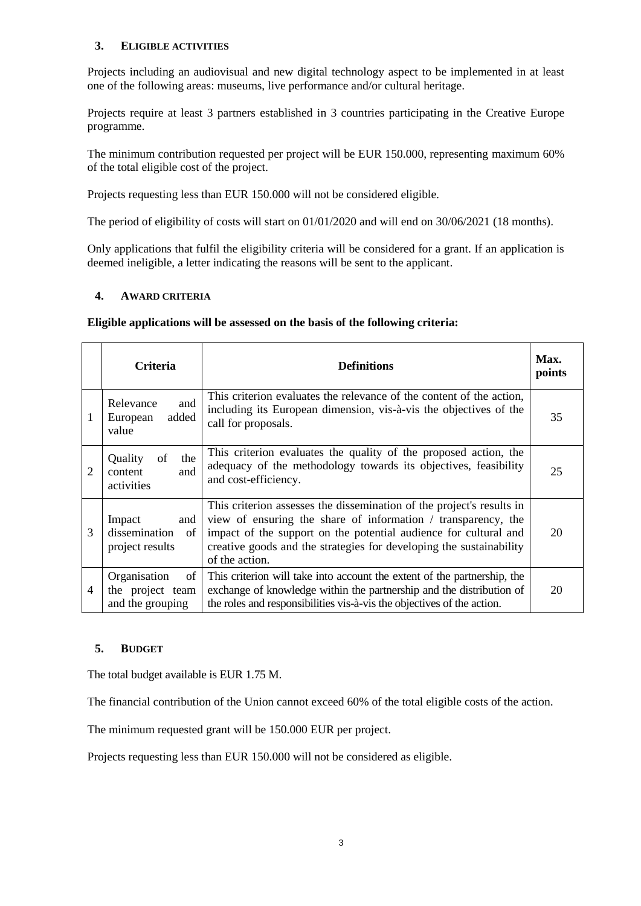## **3. ELIGIBLE ACTIVITIES**

Projects including an audiovisual and new digital technology aspect to be implemented in at least one of the following areas: museums, live performance and/or cultural heritage.

Projects require at least 3 partners established in 3 countries participating in the Creative Europe programme.

The minimum contribution requested per project will be EUR 150.000, representing maximum 60% of the total eligible cost of the project.

Projects requesting less than EUR 150.000 will not be considered eligible.

The period of eligibility of costs will start on 01/01/2020 and will end on 30/06/2021 (18 months).

Only applications that fulfil the eligibility criteria will be considered for a grant. If an application is deemed ineligible, a letter indicating the reasons will be sent to the applicant.

### **4. AWARD CRITERIA**

#### **Eligible applications will be assessed on the basis of the following criteria:**

|                | <b>Criteria</b>                                            | <b>Definitions</b>                                                                                                                                                                                                                                                                                  | Max.<br>points |
|----------------|------------------------------------------------------------|-----------------------------------------------------------------------------------------------------------------------------------------------------------------------------------------------------------------------------------------------------------------------------------------------------|----------------|
| 1              | Relevance<br>and<br>added<br>European<br>value             | This criterion evaluates the relevance of the content of the action,<br>including its European dimension, vis-à-vis the objectives of the<br>call for proposals.                                                                                                                                    | 35             |
| $\overline{2}$ | Quality<br>of<br>the<br>content<br>and<br>activities       | This criterion evaluates the quality of the proposed action, the<br>adequacy of the methodology towards its objectives, feasibility<br>and cost-efficiency.                                                                                                                                         | 25             |
| 3              | Impact<br>and<br>dissemination<br>of<br>project results    | This criterion assesses the dissemination of the project's results in<br>view of ensuring the share of information / transparency, the<br>impact of the support on the potential audience for cultural and<br>creative goods and the strategies for developing the sustainability<br>of the action. | 20             |
| 4              | Organisation<br>of<br>the project team<br>and the grouping | This criterion will take into account the extent of the partnership, the<br>exchange of knowledge within the partnership and the distribution of<br>the roles and responsibilities vis-à-vis the objectives of the action.                                                                          | 20             |

#### **5. BUDGET**

The total budget available is EUR 1.75 M.

The financial contribution of the Union cannot exceed 60% of the total eligible costs of the action.

The minimum requested grant will be 150.000 EUR per project.

Projects requesting less than EUR 150.000 will not be considered as eligible.